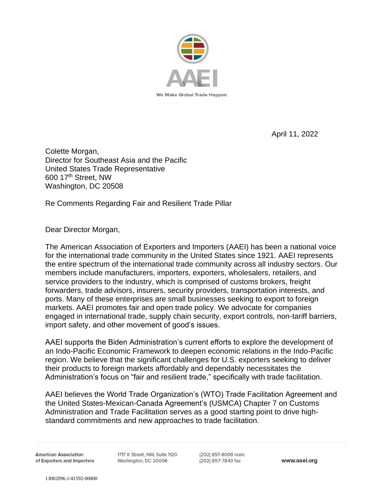

April 11, 2022

Colette Morgan, Director for Southeast Asia and the Pacific United States Trade Representative 600 17th Street, NW Washington, DC 20508

Re Comments Regarding Fair and Resilient Trade Pillar

Dear Director Morgan,

The American Association of Exporters and Importers (AAEI) has been a national voice for the international trade community in the United States since 1921. AAEI represents the entire spectrum of the international trade community across all industry sectors. Our members include manufacturers, importers, exporters, wholesalers, retailers, and service providers to the industry, which is comprised of customs brokers, freight forwarders, trade advisors, insurers, security providers, transportation interests, and ports. Many of these enterprises are small businesses seeking to export to foreign markets. AAEI promotes fair and open trade policy. We advocate for companies engaged in international trade, supply chain security, export controls, non-tariff barriers, import safety, and other movement of good's issues.

AAEI supports the Biden Administration's current efforts to explore the development of an Indo-Pacific Economic Framework to deepen economic relations in the Indo-Pacific region. We believe that the significant challenges for U.S. exporters seeking to deliver their products to foreign markets affordably and dependably necessitates the Administration's focus on "fair and resilient trade," specifically with trade facilitation.

AAEI believes the World Trade Organization's (WTO) Trade Facilitation Agreement and the United States-Mexican-Canada Agreement's (USMCA) Chapter 7 on Customs Administration and Trade Facilitation serves as a good starting point to drive highstandard commitments and new approaches to trade facilitation.

**American Association** of Exporters and Importers 1717 K Street, NW, Sulte 1120 Washington, DC 20006

(202) 857-8009 main (202) 857-7843 fax

www.aaei.org